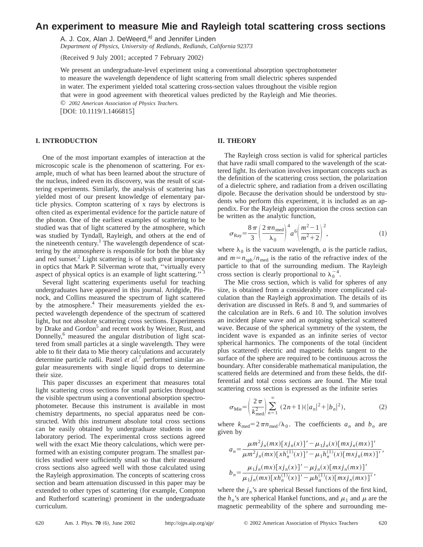# **An experiment to measure Mie and Rayleigh total scattering cross sections**

A. J. Cox, Alan J. DeWeerd,<sup>a)</sup> and Jennifer Linden

*Department of Physics, University of Redlands, Redlands, California 92373*

(Received 9 July 2001; accepted 7 February 2002)

We present an undergraduate-level experiment using a conventional absorption spectrophotometer to measure the wavelength dependence of light scattering from small dielectric spheres suspended in water. The experiment yielded total scattering cross-section values throughout the visible region that were in good agreement with theoretical values predicted by the Rayleigh and Mie theories. © *2002 American Association of Physics Teachers.*

[DOI: 10.1119/1.1466815]

## **I. INTRODUCTION**

One of the most important examples of interaction at the microscopic scale is the phenomenon of scattering. For example, much of what has been learned about the structure of the nucleus, indeed even its discovery, was the result of scattering experiments. Similarly, the analysis of scattering has yielded most of our present knowledge of elementary particle physics. Compton scattering of x rays by electrons is often cited as experimental evidence for the particle nature of the photon. One of the earliest examples of scattering to be studied was that of light scattered by the atmosphere, which was studied by Tyndall, Rayleigh, and others at the end of the nineteenth century.<sup>1</sup> The wavelength dependence of scattering by the atmosphere is responsible for both the blue sky and red sunset.<sup>2</sup> Light scattering is of such great importance in optics that Mark P. Silverman wrote that, ''virtually every aspect of physical optics is an example of light scattering."<sup>3</sup>

Several light scattering experiments useful for teaching undergraduates have appeared in this journal. Aridgide, Pinnock, and Collins measured the spectrum of light scattered by the atmosphere.<sup>4</sup> Their measurements yielded the expected wavelength dependence of the spectrum of scattered light, but not absolute scattering cross sections. Experiments by Drake and Gordon<sup>5</sup> and recent work by Weiner, Rust, and Donnelly,<sup>6</sup> measured the angular distribution of light scattered from small particles at a single wavelength. They were able to fit their data to Mie theory calculations and accurately determine particle radii. Pastel *et al.*<sup>7</sup> performed similar angular measurements with single liquid drops to determine their size.

This paper discusses an experiment that measures total light scattering cross sections for small particles throughout the visible spectrum using a conventional absorption spectrophotometer. Because this instrument is available in most chemistry departments, no special apparatus need be constructed. With this instrument absolute total cross sections can be easily obtained by undergraduate students in one laboratory period. The experimental cross sections agreed well with the exact Mie theory calculations, which were performed with an existing computer program. The smallest particles studied were sufficiently small so that their measured cross sections also agreed well with those calculated using the Rayleigh approximation. The concepts of scattering cross section and beam attenuation discussed in this paper may be extended to other types of scattering (for example, Compton and Rutherford scattering) prominent in the undergraduate curriculum.

## **II. THEORY**

The Rayleigh cross section is valid for spherical particles that have radii small compared to the wavelength of the scattered light. Its derivation involves important concepts such as the definition of the scattering cross section, the polarization of a dielectric sphere, and radiation from a driven oscillating dipole. Because the derivation should be understood by students who perform this experiment, it is included as an appendix. For the Rayleigh approximation the cross section can be written as the analytic function,

$$
\sigma_{\rm Ray} = \frac{8\,\pi}{3} \left( \frac{2\,\pi n_{\rm med}}{\lambda_0} \right)^4 a^6 \left( \frac{m^2 - 1}{m^2 + 2} \right)^2,\tag{1}
$$

where  $\lambda_0$  is the vacuum wavelength, *a* is the particle radius, and  $m = n_{sph} / n_{med}$  is the ratio of the refractive index of the particle to that of the surrounding medium. The Rayleigh cross section is clearly proportional to  $\lambda_0^{-4}$ .

The Mie cross section, which is valid for spheres of any size, is obtained from a considerably more complicated calculation than the Rayleigh approximation. The details of its derivation are discussed in Refs. 8 and 9, and summaries of the calculation are in Refs. 6 and 10. The solution involves an incident plane wave and an outgoing spherical scattered wave. Because of the spherical symmetry of the system, the incident wave is expanded as an infinite series of vector spherical harmonics. The components of the total (incident plus scattered) electric and magnetic fields tangent to the surface of the sphere are required to be continuous across the boundary. After considerable mathematical manipulation, the scattered fields are determined and from these fields, the differential and total cross sections are found. The Mie total scattering cross section is expressed as the infinite series

$$
\sigma_{\text{Mie}} = \left(\frac{2\pi}{k_{\text{med}}^2}\right) \sum_{n=1}^{\infty} (2n+1)(|a_n|^2 + |b_n|^2), \tag{2}
$$

where  $k_{\text{med}} = 2 \pi n_{\text{med}} / \lambda_0$ . The coefficients  $a_n$  and  $b_n$  are given by

$$
a_n = \frac{\mu m^2 j_n(mx) [x j_n(x)]' - \mu_1 j_n(x) [mx j_n(mx)]'}{\mu m^2 j_n(mx) [x h_n^{(1)}(x)]' - \mu_1 h_n^{(1)}(x) [mx j_n(mx)]'},
$$
  

$$
b_n = \frac{\mu_1 j_n(mx) [x j_n(x)]' - \mu_j j_n(x) [mx j_n(mx)]'}{\mu_1 j_n(mx) [x h_n^{(1)}(x)]' - \mu h_n^{(1)}(x) [mx j_n(mx)]'},
$$

where the  $j_n$ 's are spherical Bessel functions of the first kind, the  $h_n$ 's are spherical Hankel functions, and  $\mu_1$  and  $\mu$  are the magnetic permeability of the sphere and surrounding me-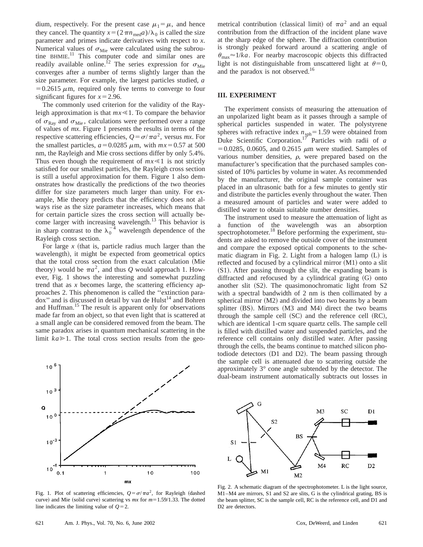dium, respectively. For the present case  $\mu_1 = \mu$ , and hence they cancel. The quantity  $x = (2 \pi n_{\text{med}} a)/\lambda_0$  is called the size parameter and primes indicate derivatives with respect to *x*. Numerical values of  $\sigma_{\text{Mie}}$  were calculated using the subroutine BHMIE.<sup>11</sup> This computer code and similar ones are readily available online.<sup>12</sup> The series expression for  $\sigma_{\text{Mie}}$ converges after a number of terms slightly larger than the size parameter. For example, the largest particles studied, *a*  $=0.2615 \mu$ m, required only five terms to converge to four significant figures for  $x=2.96$ .

The commonly used criterion for the validity of the Rayleigh approximation is that  $mx \le 1$ . To compare the behavior of  $\sigma_{\text{Ray}}$  and  $\sigma_{\text{Mie}}$ , calculations were performed over a range of values of *mx*. Figure 1 presents the results in terms of the respective scattering efficiencies,  $Q = \sigma/\pi a^2$ , versus *mx*. For the smallest particles,  $a=0.0285 \mu m$ , with  $mx=0.57$  at 500 nm, the Rayleigh and Mie cross sections differ by only 5.4%. Thus even though the requirement of  $mx \le 1$  is not strictly satisfied for our smallest particles, the Rayleigh cross section is still a useful approximation for them. Figure 1 also demonstrates how drastically the predictions of the two theories differ for size parameters much larger than unity. For example, Mie theory predicts that the efficiency does not always rise as the size parameter increases, which means that for certain particle sizes the cross section will actually become larger with increasing wavelength.<sup>13</sup> This behavior is in sharp contrast to the  $\lambda_0^{-4}$  wavelength dependence of the Rayleigh cross section.

For large  $x$  (that is, particle radius much larger than the wavelength), it might be expected from geometrical optics that the total cross section from the exact calculation (Mie theory) would be  $\pi a^2$ , and thus *Q* would approach 1. However, Fig. 1 shows the interesting and somewhat puzzling trend that as *x* becomes large, the scattering efficiency approaches 2. This phenomenon is called the ''extinction para $d$ ox" and is discussed in detail by van de Hulst<sup>14</sup> and Bohren and Huffman.<sup>15</sup> The result is apparent only for observations made far from an object, so that even light that is scattered at a small angle can be considered removed from the beam. The same paradox arises in quantum mechanical scattering in the limit  $ka \geq 1$ . The total cross section results from the geo-



Fig. 1. Plot of scattering efficiencies,  $Q = \sigma/\pi a^2$ , for Rayleigh (dashed curve) and Mie (solid curve) scattering vs  $mx$  for  $m=1.59/1.33$ . The dotted line indicates the limiting value of  $Q=2$ .

metrical contribution (classical limit) of  $\pi a^2$  and an equal contribution from the diffraction of the incident plane wave at the sharp edge of the sphere. The diffraction contribution is strongly peaked forward around a scattering angle of  $\theta_{\text{max}} \approx 1/ka$ . For nearby macroscopic objects this diffracted light is not distinguishable from unscattered light at  $\theta=0$ , and the paradox is not observed.<sup>16</sup>

### **III. EXPERIMENT**

The experiment consists of measuring the attenuation of an unpolarized light beam as it passes through a sample of spherical particles suspended in water. The polystyrene spheres with refractive index  $n_{\text{sph}}=1.59$  were obtained from Duke Scientific Corporation.<sup>17</sup> Particles with radii of *a*  $=0.0285$ , 0.0605, and 0.2615  $\mu$ m were studied. Samples of various number densities,  $\rho$ , were prepared based on the manufacturer's specification that the purchased samples consisted of 10% particles by volume in water. As recommended by the manufacturer, the original sample container was placed in an ultrasonic bath for a few minutes to gently stir and distribute the particles evenly throughout the water. Then a measured amount of particles and water were added to distilled water to obtain suitable number densities.

The instrument used to measure the attenuation of light as a function of the wavelength was an absorption spectrophotometer.<sup>18</sup> Before performing the experiment, students are asked to remove the outside cover of the instrument and compare the exposed optical components to the schematic diagram in Fig. 2. Light from a halogen lamp  $(L)$  is reflected and focused by a cylindrical mirror  $(M1)$  onto a slit  $(S1)$ . After passing through the slit, the expanding beam is diffracted and refocused by a cylindrical grating  $(G)$  onto another slit  $(S2)$ . The quasimonochromatic light from S2 with a spectral bandwidth of 2 nm is then collimated by a spherical mirror  $(M2)$  and divided into two beams by a beam splitter  $(BS)$ . Mirrors  $(M3 \text{ and } M4)$  direct the two beams through the sample cell  $(SC)$  and the reference cell  $(RC)$ , which are identical 1-cm square quartz cells. The sample cell is filled with distilled water and suspended particles, and the reference cell contains only distilled water. After passing through the cells, the beams continue to matched silicon photodiode detectors (D1 and D2). The beam passing through the sample cell is attenuated due to scattering outside the approximately 3° cone angle subtended by the detector. The dual-beam instrument automatically subtracts out losses in



Fig. 2. A schematic diagram of the spectrophotometer. L is the light source, M1–M4 are mirrors, S1 and S2 are slits, G is the cylindrical grating, BS is the beam splitter, SC is the sample cell, RC is the reference cell, and D1 and D2 are detectors.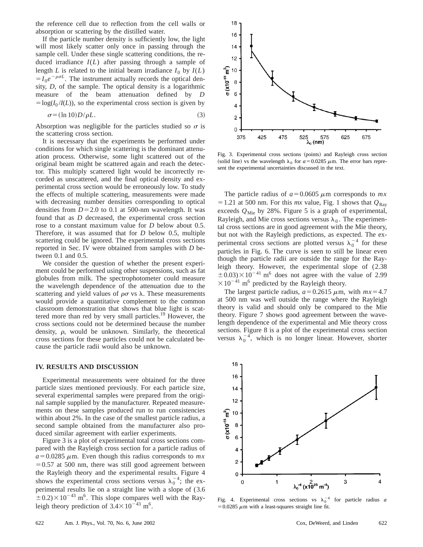the reference cell due to reflection from the cell walls or absorption or scattering by the distilled water.

If the particle number density is sufficiently low, the light will most likely scatter only once in passing through the sample cell. Under these single scattering conditions, the reduced irradiance *I*(*L*) after passing through a sample of length *L* is related to the initial beam irradiance  $I_0$  by  $I(L)$  $=I_0e^{-\rho\sigma L}$ . The instrument actually records the optical density, *D*, of the sample. The optical density is a logarithmic measure of the beam attenuation defined by *D*  $=$ log( $I_0$ /*I*(*L*)), so the experimental cross section is given by

$$
\sigma = (\ln 10)D/\rho L. \tag{3}
$$

Absorption was negligible for the particles studied so  $\sigma$  is the scattering cross section.

It is necessary that the experiments be performed under conditions for which single scattering is the dominant attenuation process. Otherwise, some light scattered out of the original beam might be scattered again and reach the detector. This multiply scattered light would be incorrectly recorded as unscattered, and the final optical density and experimental cross section would be erroneously low. To study the effects of multiple scattering, measurements were made with decreasing number densities corresponding to optical densities from  $D=2.0$  to 0.1 at 500-nm wavelength. It was found that as *D* decreased, the experimental cross section rose to a constant maximum value for *D* below about 0.5. Therefore, it was assumed that for *D* below 0.5, multiple scattering could be ignored. The experimental cross sections reported in Sec. IV were obtained from samples with *D* between 0.1 and 0.5.

We consider the question of whether the present experiment could be performed using other suspensions, such as fat globules from milk. The spectrophotometer could measure the wavelength dependence of the attenuation due to the scattering and yield values of  $\rho\sigma$  vs  $\lambda$ . These measurements would provide a quantitative complement to the common classroom demonstration that shows that blue light is scattered more than red by very small particles.<sup>19</sup> However, the cross sections could not be determined because the number density,  $\rho$ , would be unknown. Similarly, the theoretical cross sections for these particles could not be calculated because the particle radii would also be unknown.

#### **IV. RESULTS AND DISCUSSION**

Experimental measurements were obtained for the three particle sizes mentioned previously. For each particle size, several experimental samples were prepared from the original sample supplied by the manufacturer. Repeated measurements on these samples produced run to run consistencies within about 2%. In the case of the smallest particle radius, a second sample obtained from the manufacturer also produced similar agreement with earlier experiments.

Figure 3 is a plot of experimental total cross sections compared with the Rayleigh cross section for a particle radius of  $a=0.0285 \mu$ m. Even though this radius corresponds to *mx*  $=0.57$  at 500 nm, there was still good agreement between the Rayleigh theory and the experimental results. Figure 4 shows the experimental cross sections versus  $\lambda_0^{-4}$ ; the experimental results lie on a straight line with a slope of (3.6  $\pm$  0.2) $\times$  10<sup>-43</sup> m<sup>6</sup>. This slope compares well with the Rayleigh theory prediction of  $3.4 \times 10^{-43}$  m<sup>6</sup>.



Fig. 3. Experimental cross sections (points) and Rayleigh cross section (solid line) vs the wavelength  $\lambda_0$  for  $a=0.0285 \mu$ m. The error bars represent the experimental uncertainties discussed in the text.

The particle radius of  $a=0.0605 \mu m$  corresponds to  $mx$  $=$  1.21 at 500 nm. For this *mx* value, Fig. 1 shows that  $Q_{\text{Ray}}$ exceeds  $Q_{\text{Mie}}$  by 28%. Figure 5 is a graph of experimental, Rayleigh, and Mie cross sections versus  $\lambda_0$ . The experimental cross sections are in good agreement with the Mie theory, but not with the Rayleigh predictions, as expected. The experimental cross sections are plotted versus  $\lambda_0^{-4}$  for these particles in Fig. 6. The curve is seen to still be linear even though the particle radii are outside the range for the Rayleigh theory. However, the experimental slope of (2.38  $\pm$ 0.03) $\times$ 10<sup>-41</sup> m<sup>6</sup> does not agree with the value of 2.99  $\times 10^{-41}$  m<sup>6</sup> predicted by the Rayleigh theory.

The largest particle radius,  $a=0.2615 \mu \text{m}$ , with  $mx=4.7$ at 500 nm was well outside the range where the Rayleigh theory is valid and should only be compared to the Mie theory. Figure 7 shows good agreement between the wavelength dependence of the experimental and Mie theory cross sections. Figure 8 is a plot of the experimental cross section versus  $\lambda_0^{-4}$ , which is no longer linear. However, shorter



Fig. 4. Experimental cross sections vs  $\lambda_0^{-4}$  for particle radius *a*  $=0.0285 \mu m$  with a least-squares straight line fit.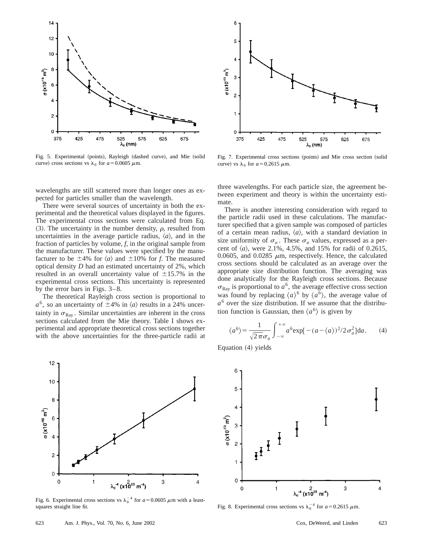

Fig. 5. Experimental (points), Rayleigh (dashed curve), and Mie (solid curve) cross sections vs  $\lambda_0$  for  $a=0.0605 \mu$ m.

wavelengths are still scattered more than longer ones as expected for particles smaller than the wavelength.

There were several sources of uncertainty in both the experimental and the theoretical values displayed in the figures. The experimental cross sections were calculated from Eq. (3). The uncertainty in the number density,  $\rho$ , resulted from uncertainties in the average particle radius,  $\langle a \rangle$ , and in the fraction of particles by volume, *f*, in the original sample from the manufacturer. These values were specified by the manufacturer to be  $\pm 4\%$  for  $\langle a \rangle$  and  $\pm 10\%$  for *f*. The measured optical density *D* had an estimated uncertainty of 2%, which resulted in an overall uncertainty value of  $\pm 15.7$ % in the experimental cross sections. This uncertainty is represented by the error bars in Figs. 3–8.

The theoretical Rayleigh cross section is proportional to  $a^6$ , so an uncertainty of  $\pm 4\%$  in  $\langle a \rangle$  results in a 24% uncertainty in  $\sigma_{\text{Ray}}$ . Similar uncertainties are inherent in the cross sections calculated from the Mie theory. Table I shows experimental and appropriate theoretical cross sections together with the above uncertainties for the three-particle radii at



Fig. 6. Experimental cross sections vs  $\lambda_0^{-4}$  for  $a = 0.0605 \mu$ m with a leastsquares straight line fit.



Fig. 7. Experimental cross sections (points) and Mie cross section (solid curve) vs  $\lambda_0$  for  $a=0.2615 \mu$ m.

three wavelengths. For each particle size, the agreement between experiment and theory is within the uncertainty estimate.

There is another interesting consideration with regard to the particle radii used in these calculations. The manufacturer specified that a given sample was composed of particles of a certain mean radius,  $\langle a \rangle$ , with a standard deviation in size uniformity of  $\sigma_a$ . These  $\sigma_a$  values, expressed as a percent of  $\langle a \rangle$ , were 2.1%, 4.5%, and 15% for radii of 0.2615, 0.0605, and 0.0285  $\mu$ m, respectively. Hence, the calculated cross sections should be calculated as an average over the appropriate size distribution function. The averaging was done analytically for the Rayleigh cross sections. Because  $\sigma_{\text{Ray}}$  is proportional to  $a^6$ , the average effective cross section was found by replacing  $\langle a \rangle^6$  by  $\langle a^6 \rangle$ , the average value of  $a<sup>6</sup>$  over the size distribution. If we assume that the distribution function is Gaussian, then  $\langle a^6 \rangle$  is given by

$$
\langle a^6 \rangle = \frac{1}{\sqrt{2\pi}\sigma_a} \int_{-\infty}^{+\infty} a^6 \exp[-(a-\langle a \rangle)^2 / 2\sigma_a^2] da. \tag{4}
$$

Equation  $(4)$  yields



Fig. 8. Experimental cross sections vs  $\lambda_0^{-4}$  for  $a = 0.2615 \mu$ m.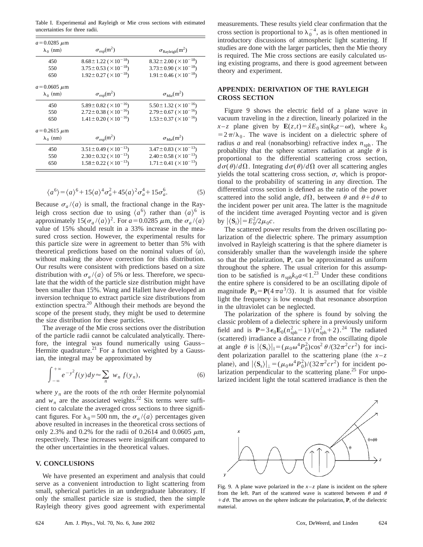Table I. Experimental and Rayleigh or Mie cross sections with estimated uncertainties for three radii.

| $a = 0.0285 \mu m$<br>$\lambda_0$ (nm) | $\sigma_{\rm exp}(m^2)$               | $\sigma_{\rm Rayleigh}(m^2)$          |
|----------------------------------------|---------------------------------------|---------------------------------------|
| 450                                    | $8.68 \pm 1.22 \; (\times 10^{-18})$  | $8.32 \pm 2.00 \ ( \times 10^{-18})$  |
| 550                                    | $3.75 \pm 0.53 \; (\times 10^{-18})$  | $3.73 \pm 0.90 \; (\times 10^{-18})$  |
|                                        |                                       |                                       |
| 650                                    | $1.92 \pm 0.27 \; (\times 10^{-18})$  | $1.91 \pm 0.46$ ( $\times 10^{-18}$ ) |
| $a = 0.0605 \mu m$                     |                                       |                                       |
| $\lambda_0$ (nm)                       | $\sigma_{\rm exp}(m^2)$               | $\sigma_{\text{Mie}}(m^2)$            |
| 450                                    | $5.89 \pm 0.82 \; (\times 10^{-16})$  | $5.50 \pm 1.32 \; (\times 10^{-16})$  |
| 550                                    | $2.72 \pm 0.38$ ( $\times 10^{-16}$ ) | $2.79 \pm 0.67 \; (\times 10^{-16})$  |
| 650                                    | $1.41 \pm 0.20$ ( $\times 10^{-16}$ ) | $1.53 \pm 0.37 \; (\times 10^{-16})$  |
| $a = 0.2615 \mu m$                     |                                       |                                       |
| $\lambda_0$ (nm)                       | $\sigma_{\rm exp}(m^2)$               | $\sigma_{\text{Mie}}(m^2)$            |
| 450                                    | $3.51 \pm 0.49 \; (\times 10^{-13})$  | $3.47 \pm 0.83 \; (\times 10^{-13})$  |
| 550                                    | $2.30\pm0.32~(\times10^{-13})$        | $2.40 \pm 0.58$ ( $\times 10^{-13}$ ) |
| 650                                    | $1.58 \pm 0.22 \; (\times 10^{-13})$  | $1.71 \pm 0.41$ ( $\times 10^{-13}$ ) |
|                                        |                                       |                                       |

$$
\langle a^6 \rangle = \langle a \rangle^6 + 15 \langle a \rangle^4 \sigma_a^2 + 45 \langle a \rangle^2 \sigma_a^4 + 15 \sigma_a^6. \tag{5}
$$

Because  $\sigma_a / \langle a \rangle$  is small, the fractional change in the Rayleigh cross section due to using  $\langle a^6 \rangle$  rather than  $\langle a \rangle^6$  is approximately  $15(\sigma_a/\langle a \rangle)^2$ . For  $a=0.0285 \mu$ m, the  $\sigma_a/\langle a \rangle$ value of 15% should result in a 33% increase in the measured cross section. However, the experimental results for this particle size were in agreement to better than 5% with theoretical predictions based on the nominal values of  $\langle a \rangle$ , without making the above correction for this distribution. Our results were consistent with predictions based on a size distribution with  $\sigma_a/(a)$  of 5% or less. Therefore, we speculate that the width of the particle size distribution might have been smaller than 15%. Wang and Hallett have developed an inversion technique to extract particle size distributions from extinction spectra.<sup>20</sup> Although their methods are beyond the scope of the present study, they might be used to determine the size distribution for these particles.

The average of the Mie cross sections over the distribution of the particle radii cannot be calculated analytically. Therefore, the integral was found numerically using Gauss– Hermite quadrature.<sup>21</sup> For a function weighted by a Gaussian, the integral may be approximated by

$$
\int_{-\infty}^{+\infty} e^{-y^2} f(y) dy \approx \sum_{n} w_n f(y_n), \tag{6}
$$

where  $y_n$  are the roots of the *n*th order Hermite polynomial and  $w_n$  are the associated weights.<sup>22</sup> Six terms were sufficient to calculate the averaged cross sections to three significant figures. For  $\lambda_0$ =500 nm, the  $\sigma_a/\langle a \rangle$  percentages given above resulted in increases in the theoretical cross sections of only 2.3% and 0.2% for the radii of 0.2614 and 0.0605  $\mu$ m, respectively. These increases were insignificant compared to the other uncertainties in the theoretical values.

### **V. CONCLUSIONS**

We have presented an experiment and analysis that could serve as a convenient introduction to light scattering from small, spherical particles in an undergraduate laboratory. If only the smallest particle size is studied, then the simple Rayleigh theory gives good agreement with experimental measurements. These results yield clear confirmation that the cross section is proportional to  $\lambda_0^{-4}$ , as is often mentioned in introductory discussions of atmospheric light scattering. If studies are done with the larger particles, then the Mie theory is required. The Mie cross sections are easily calculated using existing programs, and there is good agreement between theory and experiment.

## **APPENDIX: DERIVATION OF THE RAYLEIGH CROSS SECTION**

Figure 9 shows the electric field of a plane wave in vacuum traveling in the *z* direction, linearly polarized in the *x*-*z* plane given by  $\mathbf{E}(z,t) = \hat{x}E_0 \sin(k_0 z - \omega t)$ , where  $k_0$  $=2\pi/\lambda_0$ . The wave is incident on a dielectric sphere of radius *a* and real (nonabsorbing) refractive index  $n_{\text{sph}}$ . The probability that the sphere scatters radiation at angle  $\theta$  is proportional to the differential scattering cross section,  $d\sigma(\theta)/d\Omega$ . Integrating  $d\sigma(\theta)/d\Omega$  over all scattering angles yields the total scattering cross section,  $\sigma$ , which is proportional to the probability of scattering in any direction. The differential cross section is defined as the ratio of the power scattered into the solid angle,  $d\Omega$ , between  $\theta$  and  $\theta + d\theta$  to the incident power per unit area. The latter is the magnitude of the incident time averaged Poynting vector and is given by  $|\langle \mathbf{S}_i \rangle| = E_0^2/2\mu_0 c$ .

The scattered power results from the driven oscillating polarization of the dielectric sphere. The primary assumption involved in Rayleigh scattering is that the sphere diameter is considerably smaller than the wavelength inside the sphere so that the polarization, **P**, can be approximated as uniform throughout the sphere. The usual criterion for this assumption to be satisfied is  $n_{\text{sph}}k_0a \ll 1.^{23}$  Under these conditions the entire sphere is considered to be an oscillating dipole of magnitude  $P_0 = P(4\pi a^3/3)$ . It is assumed that for visible light the frequency is low enough that resonance absorption in the ultraviolet can be neglected.

The polarization of the sphere is found by solving the classic problem of a dielectric sphere in a previously uniform field and is  $P = 3\epsilon_0 E_0 (n_{\rm sph}^2 - 1)/(n_{\rm sph}^2 + 2).^{24}$  The radiated  $(scattered)$  irradiance a distance  $r$  from the oscillating dipole at angle  $\theta$  is  $|\langle \mathbf{S}_s \rangle|_{\parallel} = (\mu_0 \omega^4 P_0^2) \cos^2 \theta / (32\pi^2 c r^2)$  for incident polarization parallel to the scattering plane (the  $x-z$ plane), and  $|\langle \mathbf{S}_s \rangle|_{\perp} = (\mu_0 \omega^4 P_0^2)/(32\pi^2 c r^2)$  for incident polarization perpendicular to the scattering plane.<sup>25</sup> For unpolarized incident light the total scattered irradiance is then the

![](_page_4_Figure_14.jpeg)

Fig. 9. A plane wave polarized in the  $x-z$  plane is incident on the sphere from the left. Part of the scattered wave is scattered between  $\theta$  and  $\theta$  $+d\theta$ . The arrows on the sphere indicate the polarization, **P**, of the dielectric material.